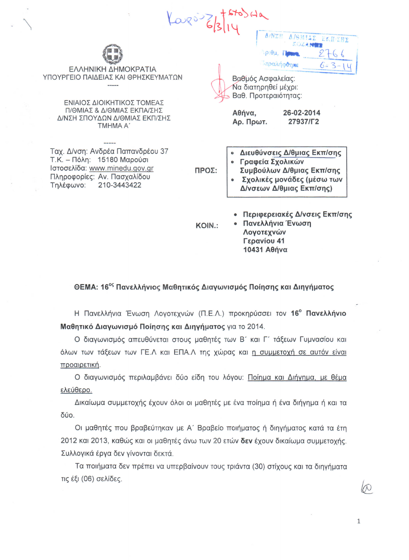| Karsi Zh                                                                                                                                                            |               |                                                                                                                                                             |
|---------------------------------------------------------------------------------------------------------------------------------------------------------------------|---------------|-------------------------------------------------------------------------------------------------------------------------------------------------------------|
| ΕΛΛΗΝΙΚΗ ΔΗΜΟΚΡΑΤΙΑ<br>ΥΠΟΥΡΓΕΙΟ ΠΑΙΔΕΙΑΣ ΚΑΙ ΘΡΗΣΚΕΥΜΑΤΩΝ<br>ΕΝΙΑΙΟΣ ΔΙΟΙΚΗΤΙΚΟΣ ΤΟΜΕΑΣ<br>Π/ΘΜΙΑΣ & Δ/ΘΜΙΑΣ ΕΚΠΑ/ΣΗΣ<br>Δ/ΝΣΗ ΣΠΟΥΔΩΝ Δ/ΘΜΙΑΣ ΕΚΠ/ΣΗΣ<br>TMHMA A' |               | ERN/ENE<br>$O(\theta)$<br>Ιαραλήφθηκε<br>Βαθμός Ασφαλείας:<br>Να διατηρηθεί μέχρι:<br>Βαθ. Προτεραιότητας:<br>Αθήνα,<br>26-02-2014<br>27937/L2<br>Αρ. Πρωτ. |
| Ταχ. Δ/νση: Ανδρέα Παπανδρέου 37<br>Τ.Κ. – Πόλη: 15180 Μαρούσι<br>Ιστοσελίδα: www.minedu.gov.gr<br>Πληροφορίες: Αν. Πασχαλίδου<br>210-3443422<br>Τηλέφωνο:          | ΠΡΟΣ:         | Διευθύνσεις Δ/θμιας Εκπ/σης<br>Γραφεία Σχολικών<br>Συμβούλων Δ/θμιας Εκπ/σης<br>Σχολικές μονάδες (μέσω των<br>Δ/νσεων Δ/θμιας Εκπ/σης)                      |
|                                                                                                                                                                     | <b>KOIN.:</b> | Περιφερειακές Δ/νσεις Εκπ/σης<br>Πανελλήνια Ένωση                                                                                                           |

ΘΕΜΑ: 16<sup>ος</sup> Πανελλήνιος Μαθητικός Διαγωνισμός Ποίησης και Διηγήματος

Λογοτεχνών Γερανίου 41 10431 Αθήνα

Η Πανελλήνια Ένωση Λογοτεχνών (Π.Ε.Λ.) προκηρύσσει τον 16° Πανελλήνιο Μαθητικό Διαγωνισμό Ποίησης και Διηγήματος για το 2014.

Ο διαγωνισμός απευθύνεται στους μαθητές των Β' και Γ' τάξεων Γυμνασίου και όλων των τάξεων των ΓΕ.Λ και ΕΠΑ.Λ της χώρας και η συμμετοχή σε αυτόν είναι προαιρετική.

Ο διαγωνισμός περιλαμβάνει δύο είδη του λόγου: Ποίημα και Διήγημα, με θέμα ελεύθερο.

Δικαίωμα συμμετοχής έχουν όλοι οι μαθητές με ένα ποίημα ή ένα διήγημα ή και τα δύο.

Οι μαθητές που βραβεύτηκαν με Α΄ Βραβείο ποιήματος ή διηγήματος κατά τα έτη 2012 και 2013, καθώς και οι μαθητές άνω των 20 ετών δεν έχουν δικαίωμα συμμετοχής. Συλλογικά έργα δεν γίνονται δεκτά.

Τα ποιήματα δεν πρέπει να υπερβαίνουν τους τριάντα (30) στίχους και τα διηγήματα τις έξι (06) σελίδες.

 $\mathcal{D}$